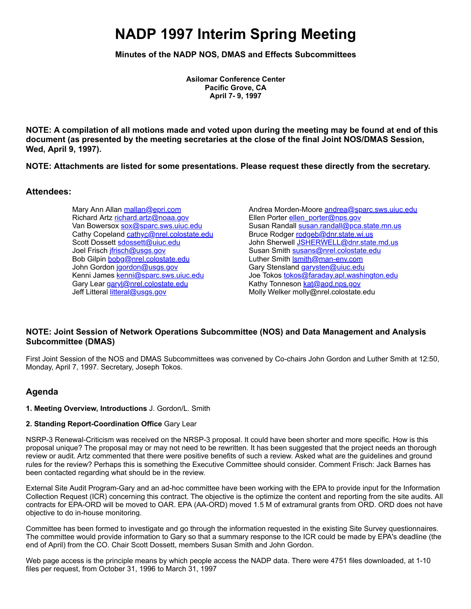# **NADP 1997 Interim Spring Meeting**

**Minutes of the NADP NOS, DMAS and Effects Subcommittees**

**Asilomar Conference Center Pacific Grove, CA April 7- 9, 1997**

**NOTE: A compilation of all motions made and voted upon during the meeting may be found at end of this document (as presented by the meeting secretaries at the close of the final Joint NOS/DMAS Session, Wed, April 9, 1997).**

**NOTE: Attachments are listed for some presentations. Please request these directly from the secretary.**

# **Attendees:**

Mary Ann Allan [mallan@epri.com](mailto:mallan@epri.com) Richard Artz [richard.artz@noaa.gov](mailto:richard.artz@noaa.gov) Van Bowersox [sox@sparc.sws.uiuc.edu](mailto:sox@sparc.sws.uiuc.edu) Cathy Copeland [cathyc@nrel.colostate.edu](mailto:cathyc@nrel.colostate.edu) Scott Dossett [sdossett@uiuc.edu](mailto:sdossett@uiuc.edu) Joel Frisch ifrisch@usgs.gov Bob Gilpin [bobg@nrel.colostate.edu](mailto:bobg@nrel.colostate.edu) John Gordon [jgordon@usgs.gov](mailto:jgordon@usgs.gov) Kenni James [kenni@sparc.sws.uiuc.edu](mailto:kenni@sparc.sws.uiuc.edu) Gary Lear [garyl@nrel.colostate.edu](mailto:garyl@nrel.colostate.edu) Jeff Litteral [litteral@usgs.gov](mailto:litteral@usgs.gov)

Andrea Morden-Moore [andrea@sparc.sws.uiuc.edu](mailto:andrea@sparc.sws.uiuc.edu) Ellen Porter [ellen\\_porter@nps.gov](mailto:ellen_porter@nps.gov) Susan Randall [susan.randall@pca.state.mn.us](mailto:susan.randall@pca.state.mn.us) Bruce Rodger [rodgeb@dnr.state.wi.us](mailto:rodgeb@dnr.state.wi.us) John Sherwell [JSHERWELL@dnr.state.md.us](mailto:JSHERWELL@dnr.state.md.us) Susan Smith [susans@nrel.colostate.edu](mailto:susans@nrel.colostate.edu) Luther Smith **Ismith@man-env.com** Gary Stensland [garysten@uiuc.edu](mailto:garysten@uiuc.edu) Joe Tokos [tokos@faraday.apl.washington.edu](mailto:tokos@faraday.apl.washington.edu) Kathy Tonneson [kat@aqd.nps.gov](mailto:kat@aqd.nps.gov) Molly Welker molly@nrel.colostate.edu

# **NOTE: Joint Session of Network Operations Subcommittee (NOS) and Data Management and Analysis Subcommittee (DMAS)**

First Joint Session of the NOS and DMAS Subcommittees was convened by Co-chairs John Gordon and Luther Smith at 12:50, Monday, April 7, 1997. Secretary, Joseph Tokos.

# **Agenda**

#### **1. Meeting Overview, Introductions** J. Gordon/L. Smith

#### **2. Standing Report-Coordination Office** Gary Lear

NSRP-3 Renewal-Criticism was received on the NRSP-3 proposal. It could have been shorter and more specific. How is this proposal unique? The proposal may or may not need to be rewritten. It has been suggested that the project needs an thorough review or audit. Artz commented that there were positive benefits of such a review. Asked what are the guidelines and ground rules for the review? Perhaps this is something the Executive Committee should consider. Comment Frisch: Jack Barnes has been contacted regarding what should be in the review.

External Site Audit Program-Gary and an ad-hoc committee have been working with the EPA to provide input for the Information Collection Request (ICR) concerning this contract. The objective is the optimize the content and reporting from the site audits. All contracts for EPA-ORD will be moved to OAR. EPA (AA-ORD) moved 1.5 M of extramural grants from ORD. ORD does not have objective to do in-house monitoring.

Committee has been formed to investigate and go through the information requested in the existing Site Survey questionnaires. The committee would provide information to Gary so that a summary response to the ICR could be made by EPA's deadline (the end of April) from the CO. Chair Scott Dossett, members Susan Smith and John Gordon.

Web page access is the principle means by which people access the NADP data. There were 4751 files downloaded, at 1-10 files per request, from October 31, 1996 to March 31, 1997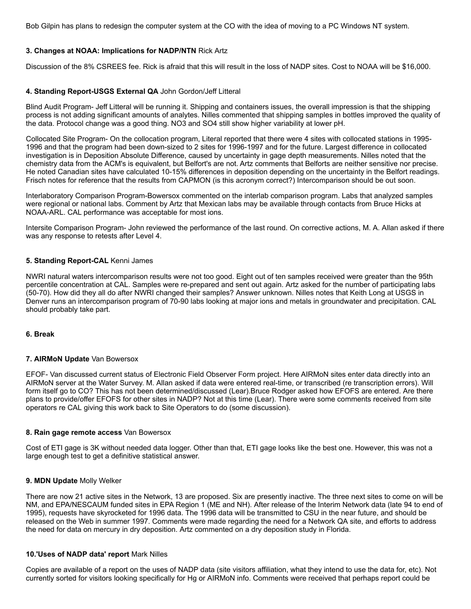Bob Gilpin has plans to redesign the computer system at the CO with the idea of moving to a PC Windows NT system.

## **3. Changes at NOAA: Implications for NADP/NTN** Rick Artz

Discussion of the 8% CSREES fee. Rick is afraid that this will result in the loss of NADP sites. Cost to NOAA will be \$16,000.

## **4. Standing Report-USGS External QA** John Gordon/Jeff Litteral

Blind Audit Program- Jeff Litteral will be running it. Shipping and containers issues, the overall impression is that the shipping process is not adding significant amounts of analytes. Nilles commented that shipping samples in bottles improved the quality of the data. Protocol change was a good thing. NO3 and SO4 still show higher variability at lower pH.

Collocated Site Program- On the collocation program, Literal reported that there were 4 sites with collocated stations in 1995- 1996 and that the program had been down-sized to 2 sites for 1996-1997 and for the future. Largest difference in collocated investigation is in Deposition Absolute Difference, caused by uncertainty in gage depth measurements. Nilles noted that the chemistry data from the ACM's is equivalent, but Belfort's are not. Artz comments that Belforts are neither sensitive nor precise. He noted Canadian sites have calculated 10-15% differences in deposition depending on the uncertainty in the Belfort readings. Frisch notes for reference that the results from CAPMON (is this acronym correct?) Intercomparison should be out soon.

Interlaboratory Comparison Program-Bowersox commented on the interlab comparison program. Labs that analyzed samples were regional or national labs. Comment by Artz that Mexican labs may be available through contacts from Bruce Hicks at NOAA-ARL. CAL performance was acceptable for most ions.

Intersite Comparison Program- John reviewed the performance of the last round. On corrective actions, M. A. Allan asked if there was any response to retests after Level 4.

## **5. Standing Report-CAL** Kenni James

NWRI natural waters intercomparison results were not too good. Eight out of ten samples received were greater than the 95th percentile concentration at CAL. Samples were re-prepared and sent out again. Artz asked for the number of participating labs (50-70). How did they all do after NWRI changed their samples? Answer unknown. Nilles notes that Keith Long at USGS in Denver runs an intercomparison program of 70-90 labs looking at major ions and metals in groundwater and precipitation. CAL should probably take part.

#### **6. Break**

#### **7. AIRMoN Update** Van Bowersox

EFOF- Van discussed current status of Electronic Field Observer Form project. Here AIRMoN sites enter data directly into an AIRMoN server at the Water Survey. M. Allan asked if data were entered real-time, or transcribed (re transcription errors). Will form itself go to CO? This has not been determined/discussed (Lear).Bruce Rodger asked how EFOFS are entered. Are there plans to provide/offer EFOFS for other sites in NADP? Not at this time (Lear). There were some comments received from site operators re CAL giving this work back to Site Operators to do (some discussion).

#### **8. Rain gage remote access** Van Bowersox

Cost of ETI gage is 3K without needed data logger. Other than that, ETI gage looks like the best one. However, this was not a large enough test to get a definitive statistical answer.

#### **9. MDN Update** Molly Welker

There are now 21 active sites in the Network, 13 are proposed. Six are presently inactive. The three next sites to come on will be NM, and EPA/NESCAUM funded sites in EPA Region 1 (ME and NH). After release of the Interim Network data (late 94 to end of 1995), requests have skyrocketed for 1996 data. The 1996 data will be transmitted to CSU in the near future, and should be released on the Web in summer 1997. Comments were made regarding the need for a Network QA site, and efforts to address the need for data on mercury in dry deposition. Artz commented on a dry deposition study in Florida.

#### **10.'Uses of NADP data' report** Mark Nilles

Copies are available of a report on the uses of NADP data (site visitors affiliation, what they intend to use the data for, etc). Not currently sorted for visitors looking specifically for Hg or AIRMoN info. Comments were received that perhaps report could be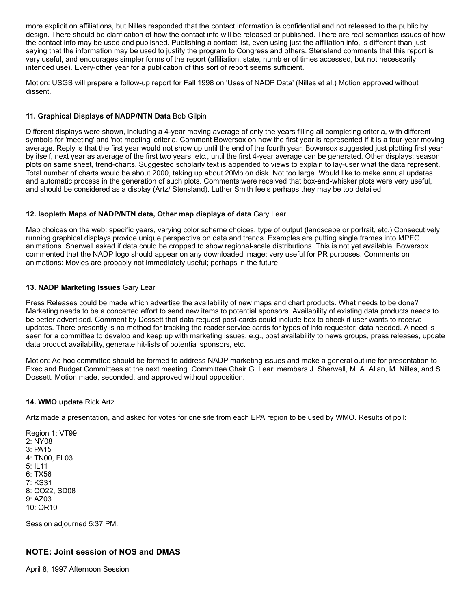more explicit on affiliations, but Nilles responded that the contact information is confidential and not released to the public by design. There should be clarification of how the contact info will be released or published. There are real semantics issues of how the contact info may be used and published. Publishing a contact list, even using just the affiliation info, is different than just saying that the information may be used to justify the program to Congress and others. Stensland comments that this report is very useful, and encourages simpler forms of the report (affiliation, state, numb er of times accessed, but not necessarily intended use). Every-other year for a publication of this sort of report seems sufficient.

Motion: USGS will prepare a follow-up report for Fall 1998 on 'Uses of NADP Data' (Nilles et al.) Motion approved without dissent.

## **11. Graphical Displays of NADP/NTN Data** Bob Gilpin

Different displays were shown, including a 4-year moving average of only the years filling all completing criteria, with different symbols for 'meeting' and 'not meeting' criteria. Comment Bowersox on how the first year is represented if it is a four-year moving average. Reply is that the first year would not show up until the end of the fourth year. Bowersox suggested just plotting first year by itself, next year as average of the first two years, etc., until the first 4-year average can be generated. Other displays: season plots on same sheet, trend-charts. Suggested scholarly text is appended to views to explain to lay-user what the data represent. Total number of charts would be about 2000, taking up about 20Mb on disk. Not too large. Would like to make annual updates and automatic process in the generation of such plots. Comments were received that box-and-whisker plots were very useful, and should be considered as a display (Artz/ Stensland). Luther Smith feels perhaps they may be too detailed.

## **12. Isopleth Maps of NADP/NTN data, Other map displays of data** Gary Lear

Map choices on the web: specific years, varying color scheme choices, type of output (landscape or portrait, etc.) Consecutively running graphical displays provide unique perspective on data and trends. Examples are putting single frames into MPEG animations. Sherwell asked if data could be cropped to show regional-scale distributions. This is not yet available. Bowersox commented that the NADP logo should appear on any downloaded image; very useful for PR purposes. Comments on animations: Movies are probably not immediately useful; perhaps in the future.

# **13. NADP Marketing Issues** Gary Lear

Press Releases could be made which advertise the availability of new maps and chart products. What needs to be done? Marketing needs to be a concerted effort to send new items to potential sponsors. Availability of existing data products needs to be better advertised. Comment by Dossett that data request post-cards could include box to check if user wants to receive updates. There presently is no method for tracking the reader service cards for types of info requester, data needed. A need is seen for a committee to develop and keep up with marketing issues, e.g., post availability to news groups, press releases, update data product availability, generate hit-lists of potential sponsors, etc.

Motion: Ad hoc committee should be formed to address NADP marketing issues and make a general outline for presentation to Exec and Budget Committees at the next meeting. Committee Chair G. Lear; members J. Sherwell, M. A. Allan, M. Nilles, and S. Dossett. Motion made, seconded, and approved without opposition.

## **14. WMO update** Rick Artz

Artz made a presentation, and asked for votes for one site from each EPA region to be used by WMO. Results of poll:

Region 1: VT99 2: NY08 3: PA15 4: TN00, FL03 5: IL11 6: TX56 7: KS31 8: CO22, SD08 9: AZ03 10: OR10

Session adjourned 5:37 PM.

# **NOTE: Joint session of NOS and DMAS**

April 8, 1997 Afternoon Session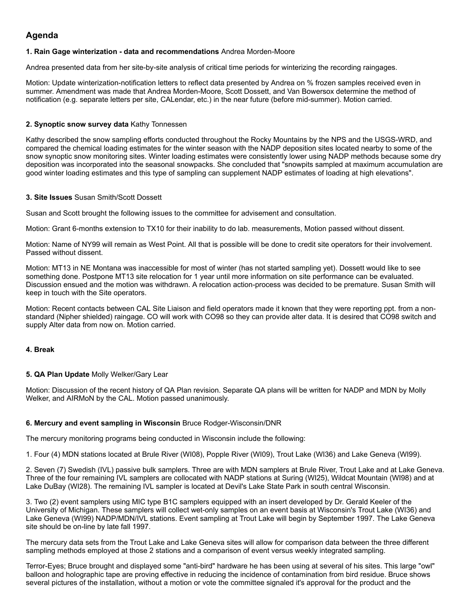# **Agenda**

#### **1. Rain Gage winterization - data and recommendations** Andrea Morden-Moore

Andrea presented data from her site-by-site analysis of critical time periods for winterizing the recording raingages.

Motion: Update winterization-notification letters to reflect data presented by Andrea on % frozen samples received even in summer. Amendment was made that Andrea Morden-Moore, Scott Dossett, and Van Bowersox determine the method of notification (e.g. separate letters per site, CALendar, etc.) in the near future (before mid-summer). Motion carried.

## **2. Synoptic snow survey data** Kathy Tonnessen

Kathy described the snow sampling efforts conducted throughout the Rocky Mountains by the NPS and the USGS-WRD, and compared the chemical loading estimates for the winter season with the NADP deposition sites located nearby to some of the snow synoptic snow monitoring sites. Winter loading estimates were consistently lower using NADP methods because some dry deposition was incorporated into the seasonal snowpacks. She concluded that "snowpits sampled at maximum accumulation are good winter loading estimates and this type of sampling can supplement NADP estimates of loading at high elevations".

#### **3. Site Issues** Susan Smith/Scott Dossett

Susan and Scott brought the following issues to the committee for advisement and consultation.

Motion: Grant 6-months extension to TX10 for their inability to do lab. measurements, Motion passed without dissent.

Motion: Name of NY99 will remain as West Point. All that is possible will be done to credit site operators for their involvement. Passed without dissent.

Motion: MT13 in NE Montana was inaccessible for most of winter (has not started sampling yet). Dossett would like to see something done. Postpone MT13 site relocation for 1 year until more information on site performance can be evaluated. Discussion ensued and the motion was withdrawn. A relocation action-process was decided to be premature. Susan Smith will keep in touch with the Site operators.

Motion: Recent contacts between CAL Site Liaison and field operators made it known that they were reporting ppt. from a nonstandard (Nipher shielded) raingage. CO will work with CO98 so they can provide alter data. It is desired that CO98 switch and supply Alter data from now on. Motion carried.

## **4. Break**

## **5. QA Plan Update** Molly Welker/Gary Lear

Motion: Discussion of the recent history of QA Plan revision. Separate QA plans will be written for NADP and MDN by Molly Welker, and AIRMoN by the CAL. Motion passed unanimously.

## **6. Mercury and event sampling in Wisconsin** Bruce Rodger-Wisconsin/DNR

The mercury monitoring programs being conducted in Wisconsin include the following:

1. Four (4) MDN stations located at Brule River (WI08), Popple River (WI09), Trout Lake (WI36) and Lake Geneva (WI99).

2. Seven (7) Swedish (IVL) passive bulk samplers. Three are with MDN samplers at Brule River, Trout Lake and at Lake Geneva. Three of the four remaining IVL samplers are collocated with NADP stations at Suring (WI25), Wildcat Mountain (WI98) and at Lake DuBay (WI28). The remaining IVL sampler is located at Devil's Lake State Park in south central Wisconsin.

3. Two (2) event samplers using MIC type B1C samplers equipped with an insert developed by Dr. Gerald Keeler of the University of Michigan. These samplers will collect wet-only samples on an event basis at Wisconsin's Trout Lake (WI36) and Lake Geneva (WI99) NADP/MDN/IVL stations. Event sampling at Trout Lake will begin by September 1997. The Lake Geneva site should be on-line by late fall 1997.

The mercury data sets from the Trout Lake and Lake Geneva sites will allow for comparison data between the three different sampling methods employed at those 2 stations and a comparison of event versus weekly integrated sampling.

Terror-Eyes; Bruce brought and displayed some "anti-bird" hardware he has been using at several of his sites. This large "owl" balloon and holographic tape are proving effective in reducing the incidence of contamination from bird residue. Bruce shows several pictures of the installation, without a motion or vote the committee signaled it's approval for the product and the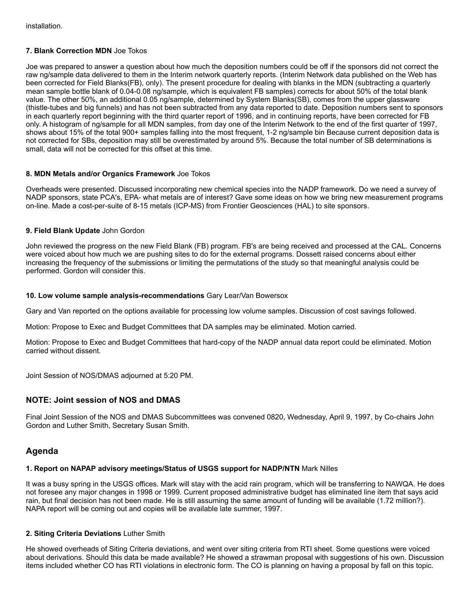## **7. Blank Correction MDN** Joe Tokos

Joe was prepared to answer a question about how much the deposition numbers could be off if the sponsors did not correct the raw ng/sample data delivered to them in the Interim network quarterly reports. (Interim Network data published on the Web has been corrected for Field Blanks(FB), only). The present procedure for dealing with blanks in the MDN (subtracting a quarterly mean sample bottle blank of 0.04-0.08 ng/sample, which is equivalent FB samples) corrects for about 50% of the total blank value. The other 50%, an additional 0.05 ng/sample, determined by System Blanks(SB), comes from the upper glassware (thistle-tubes and big funnels) and has not been subtracted from any data reported to date. Deposition numbers sent to sponsors in each quarterly report beginning with the third quarter report of 1996, and in continuing reports, have been corrected for FB only. A histogram of ng/sample for all MDN samples, from day one of the Interim Network to the end of the first quarter of 1997, shows about 15% of the total 900+ samples falling into the most frequent, 1-2 ng/sample bin Because current deposition data is not corrected for SBs, deposition may still be overestimated by around 5%. Because the total number of SB determinations is small, data will not be corrected for this offset at this time.

#### **8. MDN Metals and/or Organics Framework** Joe Tokos

Overheads were presented. Discussed incorporating new chemical species into the NADP framework. Do we need a survey of NADP sponsors, state PCA's, EPA- what metals are of interest? Gave some ideas on how we bring new measurement programs on-line. Made a cost-per-suite of 8-15 metals (ICP-MS) from Frontier Geosciences (HAL) to site sponsors.

## **9. Field Blank Update** John Gordon

John reviewed the progress on the new Field Blank (FB) program. FB's are being received and processed at the CAL. Concerns were voiced about how much we are pushing sites to do for the external programs. Dossett raised concerns about either increasing the frequency of the submissions or limiting the permutations of the study so that meaningful analysis could be performed. Gordon will consider this.

#### **10. Low volume sample analysis-recommendations** Gary Lear/Van Bowersox

Gary and Van reported on the options available for processing low volume samples. Discussion of cost savings followed.

Motion: Propose to Exec and Budget Committees that DA samples may be eliminated. Motion carried.

Motion: Propose to Exec and Budget Committees that hard-copy of the NADP annual data report could be eliminated. Motion carried without dissent.

Joint Session of NOS/DMAS adjourned at 5:20 PM.

## **NOTE: Joint session of NOS and DMAS**

Final Joint Session of the NOS and DMAS Subcommittees was convened 0820, Wednesday, April 9, 1997, by Co-chairs John Gordon and Luther Smith, Secretary Susan Smith.

# **Agenda**

# **1. Report on NAPAP advisory meetings/Status of USGS support for NADP/NTN** Mark Nilles

It was a busy spring in the USGS offices. Mark will stay with the acid rain program, which will be transferring to NAWQA. He does not foresee any major changes in 1998 or 1999. Current proposed administrative budget has eliminated line item that says acid rain, but final decision has not been made. He is still assuming the same amount of funding will be available (1.72 million?). NAPA report will be coming out and copies will be available late summer, 1997.

# **2. Siting Criteria Deviations** Luther Smith

He showed overheads of Siting Criteria deviations, and went over siting criteria from RTI sheet. Some questions were voiced about derivations. Should this data be made available? He showed a strawman proposal with suggestions of his own. Discussion items included whether CO has RTI violations in electronic form. The CO is planning on having a proposal by fall on this topic.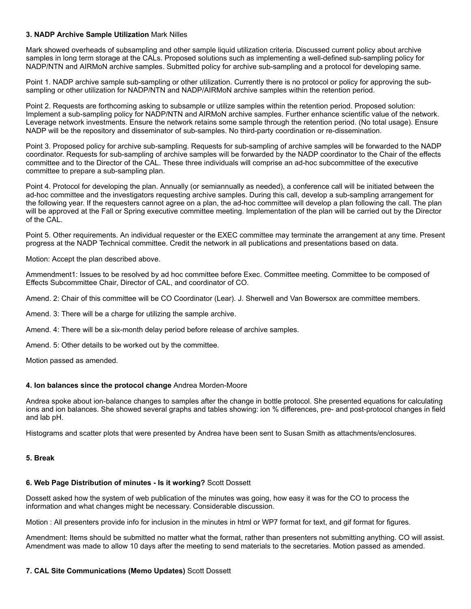#### **3. NADP Archive Sample Utilization** Mark Nilles

Mark showed overheads of subsampling and other sample liquid utilization criteria. Discussed current policy about archive samples in long term storage at the CALs. Proposed solutions such as implementing a well-defined sub-sampling policy for NADP/NTN and AIRMoN archive samples. Submitted policy for archive sub-sampling and a protocol for developing same.

Point 1. NADP archive sample sub-sampling or other utilization. Currently there is no protocol or policy for approving the subsampling or other utilization for NADP/NTN and NADP/AIRMoN archive samples within the retention period.

Point 2. Requests are forthcoming asking to subsample or utilize samples within the retention period. Proposed solution: Implement a sub-sampling policy for NADP/NTN and AIRMoN archive samples. Further enhance scientific value of the network. Leverage network investments. Ensure the network retains some sample through the retention period. (No total usage). Ensure NADP will be the repository and disseminator of sub-samples. No third-party coordination or re-dissemination.

Point 3. Proposed policy for archive sub-sampling. Requests for sub-sampling of archive samples will be forwarded to the NADP coordinator. Requests for sub-sampling of archive samples will be forwarded by the NADP coordinator to the Chair of the effects committee and to the Director of the CAL. These three individuals will comprise an ad-hoc subcommittee of the executive committee to prepare a sub-sampling plan.

Point 4. Protocol for developing the plan. Annually (or semiannually as needed), a conference call will be initiated between the ad-hoc committee and the investigators requesting archive samples. During this call, develop a sub-sampling arrangement for the following year. If the requesters cannot agree on a plan, the ad-hoc committee will develop a plan following the call. The plan will be approved at the Fall or Spring executive committee meeting. Implementation of the plan will be carried out by the Director of the CAL.

Point 5. Other requirements. An individual requester or the EXEC committee may terminate the arrangement at any time. Present progress at the NADP Technical committee. Credit the network in all publications and presentations based on data.

Motion: Accept the plan described above.

Ammendment1: Issues to be resolved by ad hoc committee before Exec. Committee meeting. Committee to be composed of Effects Subcommittee Chair, Director of CAL, and coordinator of CO.

Amend. 2: Chair of this committee will be CO Coordinator (Lear). J. Sherwell and Van Bowersox are committee members.

Amend. 3: There will be a charge for utilizing the sample archive.

Amend. 4: There will be a six-month delay period before release of archive samples.

Amend. 5: Other details to be worked out by the committee.

Motion passed as amended.

#### **4. Ion balances since the protocol change** Andrea Morden-Moore

Andrea spoke about ion-balance changes to samples after the change in bottle protocol. She presented equations for calculating ions and ion balances. She showed several graphs and tables showing: ion % differences, pre- and post-protocol changes in field and lab pH.

Histograms and scatter plots that were presented by Andrea have been sent to Susan Smith as attachments/enclosures.

#### **5. Break**

## **6. Web Page Distribution of minutes - Is it working?** Scott Dossett

Dossett asked how the system of web publication of the minutes was going, how easy it was for the CO to process the information and what changes might be necessary. Considerable discussion.

Motion : All presenters provide info for inclusion in the minutes in html or WP7 format for text, and gif format for figures.

Amendment: Items should be submitted no matter what the format, rather than presenters not submitting anything. CO will assist. Amendment was made to allow 10 days after the meeting to send materials to the secretaries. Motion passed as amended.

#### **7. CAL Site Communications (Memo Updates)** Scott Dossett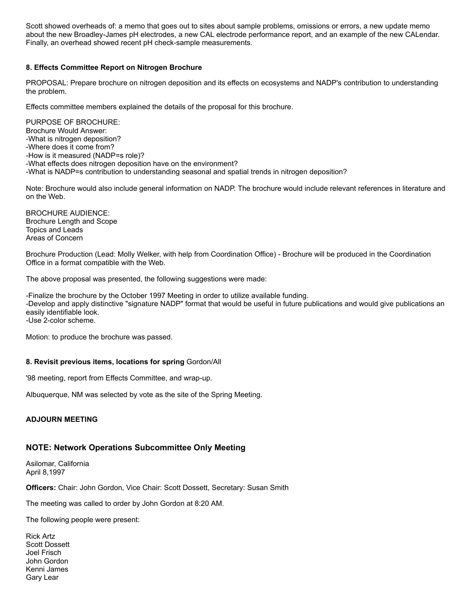Scott showed overheads of: a memo that goes out to sites about sample problems, omissions or errors, a new update memo about the new Broadley-James pH electrodes, a new CAL electrode performance report, and an example of the new CALendar. Finally, an overhead showed recent pH check-sample measurements.

#### **8. Effects Committee Report on Nitrogen Brochure**

PROPOSAL: Prepare brochure on nitrogen deposition and its effects on ecosystems and NADP's contribution to understanding the problem.

Effects committee members explained the details of the proposal for this brochure.

PURPOSE OF BROCHURE: Brochure Would Answer: -What is nitrogen deposition? -Where does it come from? -How is it measured (NADP=s role)? -What effects does nitrogen deposition have on the environment? -What is NADP=s contribution to understanding seasonal and spatial trends in nitrogen deposition?

Note: Brochure would also include general information on NADP. The brochure would include relevant references in literature and on the Web.

BROCHURE AUDIENCE: Brochure Length and Scope Topics and Leads Areas of Concern

Brochure Production (Lead: Molly Welker, with help from Coordination Office) - Brochure will be produced in the Coordination Office in a format compatible with the Web.

The above proposal was presented, the following suggestions were made:

-Finalize the brochure by the October 1997 Meeting in order to utilize available funding. -Develop and apply distinctive "signature NADP" format that would be useful in future publications and would give publications an easily identifiable look. -Use 2-color scheme.

Motion: to produce the brochure was passed.

#### **8. Revisit previous items, locations for spring** Gordon/All

'98 meeting, report from Effects Committee, and wrap-up.

Albuquerque, NM was selected by vote as the site of the Spring Meeting.

#### **ADJOURN MEETING**

## **NOTE: Network Operations Subcommittee Only Meeting**

Asilomar, California April 8,1997

**Officers:** Chair: John Gordon, Vice Chair: Scott Dossett, Secretary: Susan Smith

The meeting was called to order by John Gordon at 8:20 AM.

The following people were present:

Rick Artz Scott Dossett Joel Frisch John Gordon Kenni James Gary Lear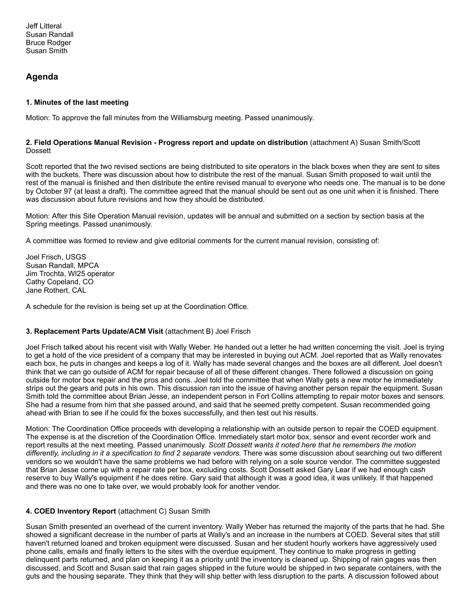# **Agenda**

## **1. Minutes of the last meeting**

Motion: To approve the fall minutes from the Williamsburg meeting. Passed unanimously.

#### **2. Field Operations Manual Revision - Progress report and update on distribution** (attachment A) Susan Smith/Scott Dossett

Scott reported that the two revised sections are being distributed to site operators in the black boxes when they are sent to sites with the buckets. There was discussion about how to distribute the rest of the manual. Susan Smith proposed to wait until the rest of the manual is finished and then distribute the entire revised manual to everyone who needs one. The manual is to be done by October 97 (at least a draft). The committee agreed that the manual should be sent out as one unit when it is finished. There was discussion about future revisions and how they should be distributed.

Motion: After this Site Operation Manual revision, updates will be annual and submitted on a section by section basis at the Spring meetings. Passed unanimously.

A committee was formed to review and give editorial comments for the current manual revision, consisting of:

Joel Frisch, USGS Susan Randall, MPCA Jim Trochta, WI25 operator Cathy Copeland, CO Jane Rothert, CAL

A schedule for the revision is being set up at the Coordination Office.

# **3. Replacement Parts Update/ACM Visit** (attachment B) Joel Frisch

Joel Frisch talked about his recent visit with Wally Weber. He handed out a letter he had written concerning the visit. Joel is trying to get a hold of the vice president of a company that may be interested in buying out ACM. Joel reported that as Wally renovates each box, he puts in changes and keeps a log of it. Wally has made several changes and the boxes are all different. Joel doesn't think that we can go outside of ACM for repair because of all of these different changes. There followed a discussion on going outside for motor box repair and the pros and cons. Joel told the committee that when Wally gets a new motor he immediately strips out the gears and puts in his own. This discussion ran into the issue of having another person repair the equipment. Susan Smith told the committee about Brian Jesse, an independent person in Fort Collins attempting to repair motor boxes and sensors. She had a resume from him that she passed around, and said that he seemed pretty competent. Susan recommended going ahead with Brian to see if he could fix the boxes successfully, and then test out his results.

Motion: The Coordination Office proceeds with developing a relationship with an outside person to repair the COED equipment. The expense is at the discretion of the Coordination Office. Immediately start motor box, sensor and event recorder work and report results at the next meeting. Passed unanimously. *Scott Dossett wants it noted here that he remembers the motion differently, including in it a specification to find 2 separate vendors.* There was some discussion about searching out two different vendors so we wouldn't have the same problems we had before with relying on a sole source vendor. The committee suggested that Brian Jesse come up with a repair rate per box, excluding costs. Scott Dossett asked Gary Lear if we had enough cash reserve to buy Wally's equipment if he does retire. Gary said that although it was a good idea, it was unlikely. If that happened and there was no one to take over, we would probably look for another vendor.

# **4. COED Inventory Report** (attachment C) Susan Smith

Susan Smith presented an overhead of the current inventory. Wally Weber has returned the majority of the parts that he had. She showed a significant decrease in the number of parts at Wally's and an increase in the numbers at COED. Several sites that still haven't returned loaned and broken equipment were discussed. Susan and her student hourly workers have aggressively used phone calls, emails and finally letters to the sites with the overdue equipment. They continue to make progress in getting delinquent parts returned, and plan on keeping it as a priority until the inventory is cleaned up. Shipping of rain gages was then discussed, and Scott and Susan said that rain gages shipped in the future would be shipped in two separate containers, with the guts and the housing separate. They think that they will ship better with less disruption to the parts. A discussion followed about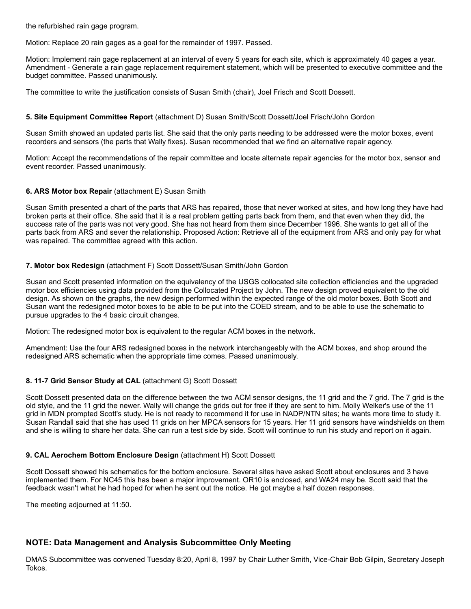the refurbished rain gage program.

Motion: Replace 20 rain gages as a goal for the remainder of 1997. Passed.

Motion: Implement rain gage replacement at an interval of every 5 years for each site, which is approximately 40 gages a year. Amendment - Generate a rain gage replacement requirement statement, which will be presented to executive committee and the budget committee. Passed unanimously.

The committee to write the justification consists of Susan Smith (chair), Joel Frisch and Scott Dossett.

## **5. Site Equipment Committee Report** (attachment D) Susan Smith/Scott Dossett/Joel Frisch/John Gordon

Susan Smith showed an updated parts list. She said that the only parts needing to be addressed were the motor boxes, event recorders and sensors (the parts that Wally fixes). Susan recommended that we find an alternative repair agency.

Motion: Accept the recommendations of the repair committee and locate alternate repair agencies for the motor box, sensor and event recorder. Passed unanimously.

#### **6. ARS Motor box Repair** (attachment E) Susan Smith

Susan Smith presented a chart of the parts that ARS has repaired, those that never worked at sites, and how long they have had broken parts at their office. She said that it is a real problem getting parts back from them, and that even when they did, the success rate of the parts was not very good. She has not heard from them since December 1996. She wants to get all of the parts back from ARS and sever the relationship. Proposed Action: Retrieve all of the equipment from ARS and only pay for what was repaired. The committee agreed with this action.

#### **7. Motor box Redesign** (attachment F) Scott Dossett/Susan Smith/John Gordon

Susan and Scott presented information on the equivalency of the USGS collocated site collection efficiencies and the upgraded motor box efficiencies using data provided from the Collocated Project by John. The new design proved equivalent to the old design. As shown on the graphs, the new design performed within the expected range of the old motor boxes. Both Scott and Susan want the redesigned motor boxes to be able to be put into the COED stream, and to be able to use the schematic to pursue upgrades to the 4 basic circuit changes.

Motion: The redesigned motor box is equivalent to the regular ACM boxes in the network.

Amendment: Use the four ARS redesigned boxes in the network interchangeably with the ACM boxes, and shop around the redesigned ARS schematic when the appropriate time comes. Passed unanimously.

## **8. 11-7 Grid Sensor Study at CAL** (attachment G) Scott Dossett

Scott Dossett presented data on the difference between the two ACM sensor designs, the 11 grid and the 7 grid. The 7 grid is the old style, and the 11 grid the newer. Wally will change the grids out for free if they are sent to him. Molly Welker's use of the 11 grid in MDN prompted Scott's study. He is not ready to recommend it for use in NADP/NTN sites; he wants more time to study it. Susan Randall said that she has used 11 grids on her MPCA sensors for 15 years. Her 11 grid sensors have windshields on them and she is willing to share her data. She can run a test side by side. Scott will continue to run his study and report on it again.

#### **9. CAL Aerochem Bottom Enclosure Design** (attachment H) Scott Dossett

Scott Dossett showed his schematics for the bottom enclosure. Several sites have asked Scott about enclosures and 3 have implemented them. For NC45 this has been a major improvement. OR10 is enclosed, and WA24 may be. Scott said that the feedback wasn't what he had hoped for when he sent out the notice. He got maybe a half dozen responses.

The meeting adjourned at 11:50.

# **NOTE: Data Management and Analysis Subcommittee Only Meeting**

DMAS Subcommittee was convened Tuesday 8:20, April 8, 1997 by Chair Luther Smith, Vice-Chair Bob Gilpin, Secretary Joseph Tokos.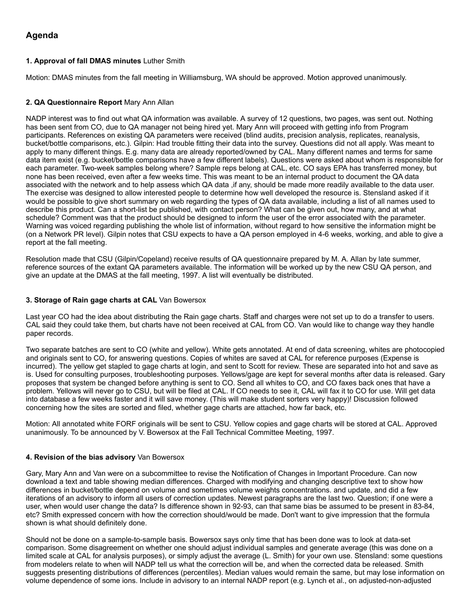# **Agenda**

# **1. Approval of fall DMAS minutes** Luther Smith

Motion: DMAS minutes from the fall meeting in Williamsburg, WA should be approved. Motion approved unanimously.

## **2. QA Questionnaire Report** Mary Ann Allan

NADP interest was to find out what QA information was available. A survey of 12 questions, two pages, was sent out. Nothing has been sent from CO, due to QA manager not being hired yet. Mary Ann will proceed with getting info from Program participants. References on existing QA parameters were received (blind audits, precision analysis, replicates, reanalysis, bucket/bottle comparisons, etc.). Gilpin: Had trouble fitting their data into the survey. Questions did not all apply. Was meant to apply to many different things. E.g. many data are already reported/owned by CAL. Many different names and terms for same data item exist (e.g. bucket/bottle comparisons have a few different labels). Questions were asked about whom is responsible for each parameter. Two-week samples belong where? Sample reps belong at CAL, etc. CO says EPA has transferred money, but none has been received, even after a few weeks time. This was meant to be an internal product to document the QA data associated with the network and to help assess which QA data ,if any, should be made more readily available to the data user. The exercise was designed to allow interested people to determine how well developed the resource is. Stensland asked if it would be possible to give short summary on web regarding the types of QA data available, including a list of all names used to describe this product. Can a short-list be published, with contact person? What can be given out, how many, and at what schedule? Comment was that the product should be designed to inform the user of the error associated with the parameter. Warning was voiced regarding publishing the whole list of information, without regard to how sensitive the information might be (on a Network PR level). Gilpin notes that CSU expects to have a QA person employed in 4-6 weeks, working, and able to give a report at the fall meeting.

Resolution made that CSU (Gilpin/Copeland) receive results of QA questionnaire prepared by M. A. Allan by late summer, reference sources of the extant QA parameters available. The information will be worked up by the new CSU QA person, and give an update at the DMAS at the fall meeting, 1997. A list will eventually be distributed.

## **3. Storage of Rain gage charts at CAL** Van Bowersox

Last year CO had the idea about distributing the Rain gage charts. Staff and charges were not set up to do a transfer to users. CAL said they could take them, but charts have not been received at CAL from CO. Van would like to change way they handle paper records.

Two separate batches are sent to CO (white and yellow). White gets annotated. At end of data screening, whites are photocopied and originals sent to CO, for answering questions. Copies of whites are saved at CAL for reference purposes (Expense is incurred). The yellow get stapled to gage charts at login, and sent to Scott for review. These are separated into hot and save as is. Used for consulting purposes, troubleshooting purposes. Yellows/gage are kept for several months after data is released. Gary proposes that system be changed before anything is sent to CO. Send all whites to CO, and CO faxes back ones that have a problem. Yellows will never go to CSU, but will be filed at CAL. If CO needs to see it, CAL will fax it to CO for use. Will get data into database a few weeks faster and it will save money. (This will make student sorters very happy)! Discussion followed concerning how the sites are sorted and filed, whether gage charts are attached, how far back, etc.

Motion: All annotated white FORF originals will be sent to CSU. Yellow copies and gage charts will be stored at CAL. Approved unanimously. To be announced by V. Bowersox at the Fall Technical Committee Meeting, 1997.

## **4. Revision of the bias advisory** Van Bowersox

Gary, Mary Ann and Van were on a subcommittee to revise the Notification of Changes in Important Procedure. Can now download a text and table showing median differences. Charged with modifying and changing descriptive text to show how differences in bucket/bottle depend on volume and sometimes volume weights concentrations. and update, and did a few iterations of an advisory to inform all users of correction updates. Newest paragraphs are the last two. Question; if one were a user, when would user change the data? Is difference shown in 92-93, can that same bias be assumed to be present in 83-84, etc? Smith expressed concern with how the correction should/would be made. Don't want to give impression that the formula shown is what should definitely done.

Should not be done on a sample-to-sample basis. Bowersox says only time that has been done was to look at data-set comparison. Some disagreement on whether one should adjust individual samples and generate average (this was done on a limited scale at CAL for analysis purposes), or simply adjust the average (L. Smith) for your own use. Stensland: some questions from modelers relate to when will NADP tell us what the correction will be, and when the corrected data be released. Smith suggests presenting distributions of differences (percentiles). Median values would remain the same, but may lose information on volume dependence of some ions. Include in advisory to an internal NADP report (e.g. Lynch et al., on adjusted-non-adjusted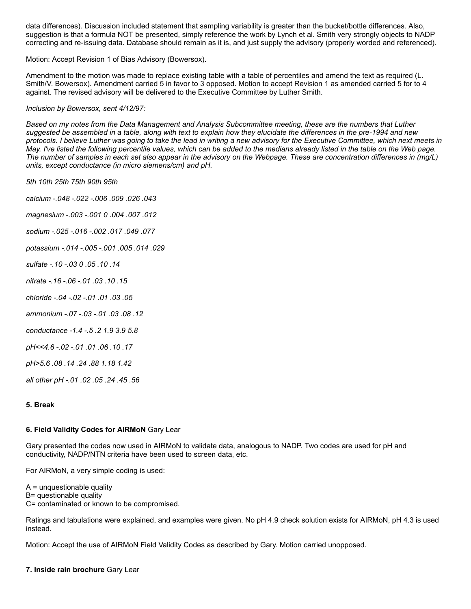data differences). Discussion included statement that sampling variability is greater than the bucket/bottle differences. Also, suggestion is that a formula NOT be presented, simply reference the work by Lynch et al. Smith very strongly objects to NADP correcting and re-issuing data. Database should remain as it is, and just supply the advisory (properly worded and referenced).

Motion: Accept Revision 1 of Bias Advisory (Bowersox).

Amendment to the motion was made to replace existing table with a table of percentiles and amend the text as required (L. Smith/V. Bowersox). Amendment carried 5 in favor to 3 opposed. Motion to accept Revision 1 as amended carried 5 for to 4 against. The revised advisory will be delivered to the Executive Committee by Luther Smith.

#### *Inclusion by Bowersox, sent 4/12/97:*

*Based on my notes from the Data Management and Analysis Subcommittee meeting, these are the numbers that Luther suggested be assembled in a table, along with text to explain how they elucidate the differences in the pre-1994 and new protocols. I believe Luther was going to take the lead in writing a new advisory for the Executive Committee, which next meets in May. I've listed the following percentile values, which can be added to the medians already listed in the table on the Web page. The number of samples in each set also appear in the advisory on the Webpage. These are concentration differences in (mg/L) units, except conductance (in micro siemens/cm) and pH.*

*5th 10th 25th 75th 90th 95th*

*calcium -.048 -.022 -.006 .009 .026 .043*

*magnesium -.003 -.001 0 .004 .007 .012*

*sodium -.025 -.016 -.002 .017 .049 .077*

*potassium -.014 -.005 -.001 .005 .014 .029*

*sulfate -.10 -.03 0 .05 .10 .14*

*nitrate -.16 -.06 -.01 .03 .10 .15*

- *chloride -.04 -.02 -.01 .01 .03 .05*
- *ammonium -.07 -.03 -.01 .03 .08 .12*
- *conductance -1.4 -.5 .2 1.9 3.9 5.8*

*pH<<4.6 -.02 -.01 .01 .06 .10 .17*

*pH>5.6 .08 .14 .24 .88 1.18 1.42*

*all other pH -.01 .02 .05 .24 .45 .56*

#### **5. Break**

#### **6. Field Validity Codes for AIRMoN** Gary Lear

Gary presented the codes now used in AIRMoN to validate data, analogous to NADP. Two codes are used for pH and conductivity, NADP/NTN criteria have been used to screen data, etc.

For AIRMoN, a very simple coding is used:

 $A =$  unquestionable quality B= questionable quality C= contaminated or known to be compromised.

Ratings and tabulations were explained, and examples were given. No pH 4.9 check solution exists for AIRMoN, pH 4.3 is used instead.

Motion: Accept the use of AIRMoN Field Validity Codes as described by Gary. Motion carried unopposed.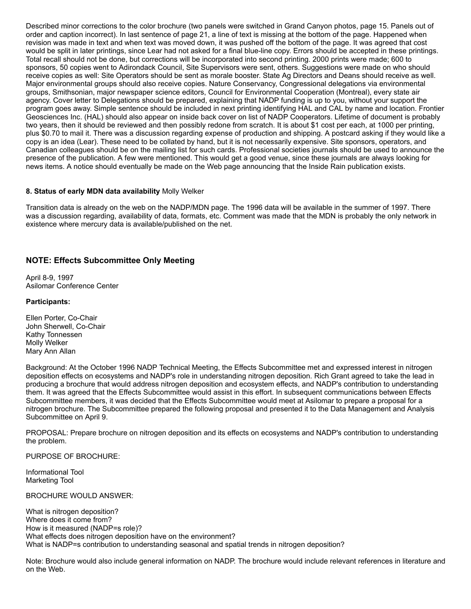Described minor corrections to the color brochure (two panels were switched in Grand Canyon photos, page 15. Panels out of order and caption incorrect). In last sentence of page 21, a line of text is missing at the bottom of the page. Happened when revision was made in text and when text was moved down, it was pushed off the bottom of the page. It was agreed that cost would be split in later printings, since Lear had not asked for a final blue-line copy. Errors should be accepted in these printings. Total recall should not be done, but corrections will be incorporated into second printing. 2000 prints were made; 600 to sponsors, 50 copies went to Adirondack Council, Site Supervisors were sent, others. Suggestions were made on who should receive copies as well: Site Operators should be sent as morale booster. State Ag Directors and Deans should receive as well. Major environmental groups should also receive copies. Nature Conservancy, Congressional delegations via environmental groups, Smithsonian, major newspaper science editors, Council for Environmental Cooperation (Montreal), every state air agency. Cover letter to Delegations should be prepared, explaining that NADP funding is up to you, without your support the program goes away. Simple sentence should be included in next printing identifying HAL and CAL by name and location. Frontier Geosciences Inc. (HAL) should also appear on inside back cover on list of NADP Cooperators. Lifetime of document is probably two years, then it should be reviewed and then possibly redone from scratch. It is about \$1 cost per each, at 1000 per printing, plus \$0.70 to mail it. There was a discussion regarding expense of production and shipping. A postcard asking if they would like a copy is an idea (Lear). These need to be collated by hand, but it is not necessarily expensive. Site sponsors, operators, and Canadian colleagues should be on the mailing list for such cards. Professional societies journals should be used to announce the presence of the publication. A few were mentioned. This would get a good venue, since these journals are always looking for news items. A notice should eventually be made on the Web page announcing that the Inside Rain publication exists.

#### **8. Status of early MDN data availability** Molly Welker

Transition data is already on the web on the NADP/MDN page. The 1996 data will be available in the summer of 1997. There was a discussion regarding, availability of data, formats, etc. Comment was made that the MDN is probably the only network in existence where mercury data is available/published on the net.

# **NOTE: Effects Subcommittee Only Meeting**

April 8-9, 1997 Asilomar Conference Center

#### **Participants:**

Ellen Porter, Co-Chair John Sherwell, Co-Chair Kathy Tonnessen Molly Welker Mary Ann Allan

Background: At the October 1996 NADP Technical Meeting, the Effects Subcommittee met and expressed interest in nitrogen deposition effects on ecosystems and NADP's role in understanding nitrogen deposition. Rich Grant agreed to take the lead in producing a brochure that would address nitrogen deposition and ecosystem effects, and NADP's contribution to understanding them. It was agreed that the Effects Subcommittee would assist in this effort. In subsequent communications between Effects Subcommittee members, it was decided that the Effects Subcommittee would meet at Asilomar to prepare a proposal for a nitrogen brochure. The Subcommittee prepared the following proposal and presented it to the Data Management and Analysis Subcommittee on April 9.

PROPOSAL: Prepare brochure on nitrogen deposition and its effects on ecosystems and NADP's contribution to understanding the problem.

PURPOSE OF BROCHURE:

Informational Tool Marketing Tool

BROCHURE WOULD ANSWER:

What is nitrogen deposition? Where does it come from? How is it measured (NADP=s role)? What effects does nitrogen deposition have on the environment? What is NADP=s contribution to understanding seasonal and spatial trends in nitrogen deposition?

Note: Brochure would also include general information on NADP. The brochure would include relevant references in literature and on the Web.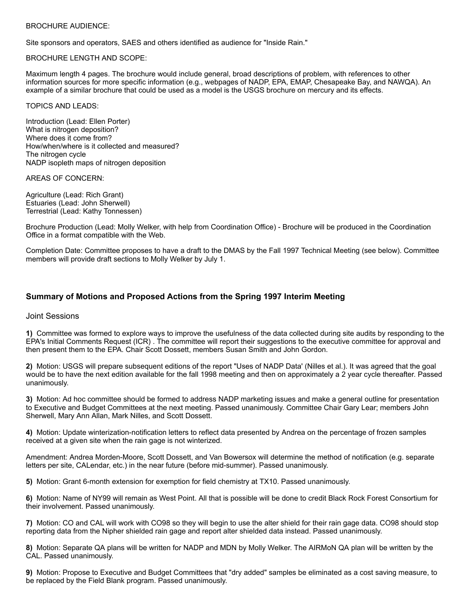#### BROCHURE AUDIENCE:

Site sponsors and operators, SAES and others identified as audience for "Inside Rain."

#### BROCHURE LENGTH AND SCOPE:

Maximum length 4 pages. The brochure would include general, broad descriptions of problem, with references to other information sources for more specific information (e.g., webpages of NADP, EPA, EMAP, Chesapeake Bay, and NAWQA). An example of a similar brochure that could be used as a model is the USGS brochure on mercury and its effects.

TOPICS AND LEADS:

Introduction (Lead: Ellen Porter) What is nitrogen deposition? Where does it come from? How/when/where is it collected and measured? The nitrogen cycle NADP isopleth maps of nitrogen deposition

AREAS OF CONCERN:

Agriculture (Lead: Rich Grant) Estuaries (Lead: John Sherwell) Terrestrial (Lead: Kathy Tonnessen)

Brochure Production (Lead: Molly Welker, with help from Coordination Office) - Brochure will be produced in the Coordination Office in a format compatible with the Web.

Completion Date: Committee proposes to have a draft to the DMAS by the Fall 1997 Technical Meeting (see below). Committee members will provide draft sections to Molly Welker by July 1.

# **Summary of Motions and Proposed Actions from the Spring 1997 Interim Meeting**

## Joint Sessions

**1)** Committee was formed to explore ways to improve the usefulness of the data collected during site audits by responding to the EPA's Initial Comments Request (ICR) . The committee will report their suggestions to the executive committee for approval and then present them to the EPA. Chair Scott Dossett, members Susan Smith and John Gordon.

**2)** Motion: USGS will prepare subsequent editions of the report "Uses of NADP Data' (Nilles et al.). It was agreed that the goal would be to have the next edition available for the fall 1998 meeting and then on approximately a 2 year cycle thereafter. Passed unanimously.

**3)** Motion: Ad hoc committee should be formed to address NADP marketing issues and make a general outline for presentation to Executive and Budget Committees at the next meeting. Passed unanimously. Committee Chair Gary Lear; members John Sherwell, Mary Ann Allan, Mark Nilles, and Scott Dossett.

**4)** Motion: Update winterization-notification letters to reflect data presented by Andrea on the percentage of frozen samples received at a given site when the rain gage is not winterized.

Amendment: Andrea Morden-Moore, Scott Dossett, and Van Bowersox will determine the method of notification (e.g. separate letters per site, CALendar, etc.) in the near future (before mid-summer). Passed unanimously.

**5)** Motion: Grant 6-month extension for exemption for field chemistry at TX10. Passed unanimously.

**6)** Motion: Name of NY99 will remain as West Point. All that is possible will be done to credit Black Rock Forest Consortium for their involvement. Passed unanimously.

**7)** Motion: CO and CAL will work with CO98 so they will begin to use the alter shield for their rain gage data. CO98 should stop reporting data from the Nipher shielded rain gage and report alter shielded data instead. Passed unanimously.

**8)** Motion: Separate QA plans will be written for NADP and MDN by Molly Welker. The AIRMoN QA plan will be written by the CAL. Passed unanimously.

**9)** Motion: Propose to Executive and Budget Committees that "dry added" samples be eliminated as a cost saving measure, to be replaced by the Field Blank program. Passed unanimously.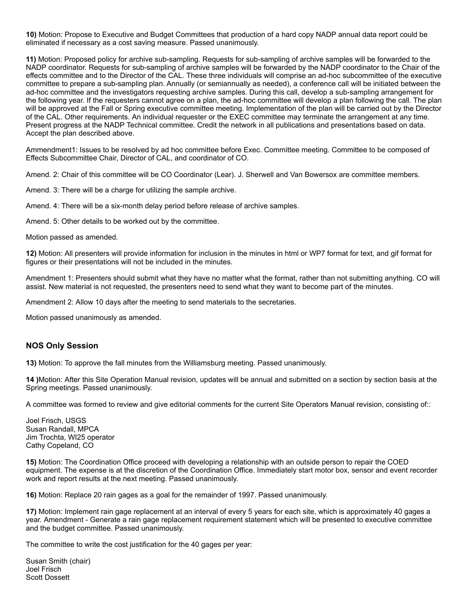**10)** Motion: Propose to Executive and Budget Committees that production of a hard copy NADP annual data report could be eliminated if necessary as a cost saving measure. Passed unanimously.

**11)** Motion: Proposed policy for archive sub-sampling. Requests for sub-sampling of archive samples will be forwarded to the NADP coordinator. Requests for sub-sampling of archive samples will be forwarded by the NADP coordinator to the Chair of the effects committee and to the Director of the CAL. These three individuals will comprise an ad-hoc subcommittee of the executive committee to prepare a sub-sampling plan. Annually (or semiannually as needed), a conference call will be initiated between the ad-hoc committee and the investigators requesting archive samples. During this call, develop a sub-sampling arrangement for the following year. If the requesters cannot agree on a plan, the ad-hoc committee will develop a plan following the call. The plan will be approved at the Fall or Spring executive committee meeting. Implementation of the plan will be carried out by the Director of the CAL. Other requirements. An individual requester or the EXEC committee may terminate the arrangement at any time. Present progress at the NADP Technical committee. Credit the network in all publications and presentations based on data. Accept the plan described above.

Ammendment1: Issues to be resolved by ad hoc committee before Exec. Committee meeting. Committee to be composed of Effects Subcommittee Chair, Director of CAL, and coordinator of CO.

Amend. 2: Chair of this committee will be CO Coordinator (Lear). J. Sherwell and Van Bowersox are committee members.

Amend. 3: There will be a charge for utilizing the sample archive.

Amend. 4: There will be a six-month delay period before release of archive samples.

Amend. 5: Other details to be worked out by the committee.

Motion passed as amended.

**12)** Motion: All presenters will provide information for inclusion in the minutes in html or WP7 format for text, and gif format for figures or their presentations will not be included in the minutes.

Amendment 1: Presenters should submit what they have no matter what the format, rather than not submitting anything. CO will assist. New material is not requested, the presenters need to send what they want to become part of the minutes.

Amendment 2: Allow 10 days after the meeting to send materials to the secretaries.

Motion passed unanimously as amended.

## **NOS Only Session**

**13)** Motion: To approve the fall minutes from the Williamsburg meeting. Passed unanimously.

**14 )**Motion: After this Site Operation Manual revision, updates will be annual and submitted on a section by section basis at the Spring meetings. Passed unanimously.

A committee was formed to review and give editorial comments for the current Site Operators Manual revision, consisting of::

Joel Frisch, USGS Susan Randall, MPCA Jim Trochta, WI25 operator Cathy Copeland, CO

**15)** Motion: The Coordination Office proceed with developing a relationship with an outside person to repair the COED equipment. The expense is at the discretion of the Coordination Office. Immediately start motor box, sensor and event recorder work and report results at the next meeting. Passed unanimously.

**16)** Motion: Replace 20 rain gages as a goal for the remainder of 1997. Passed unanimously.

**17)** Motion: Implement rain gage replacement at an interval of every 5 years for each site, which is approximately 40 gages a year. Amendment - Generate a rain gage replacement requirement statement which will be presented to executive committee and the budget committee. Passed unanimously.

The committee to write the cost justification for the 40 gages per year:

Susan Smith (chair) Joel Frisch Scott Dossett